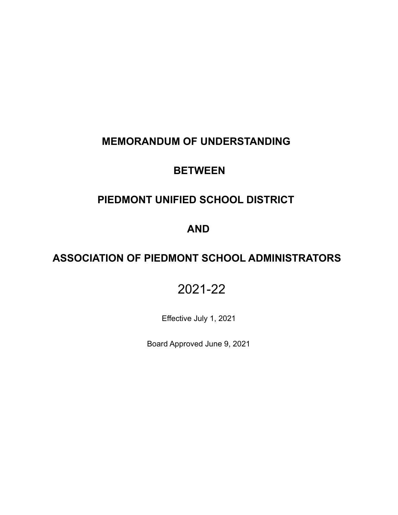## **MEMORANDUM OF UNDERSTANDING**

## **BETWEEN**

# **PIEDMONT UNIFIED SCHOOL DISTRICT**

## **AND**

# **ASSOCIATION OF PIEDMONT SCHOOL ADMINISTRATORS**

# 2021-22

Effective July 1, 2021

Board Approved June 9, 2021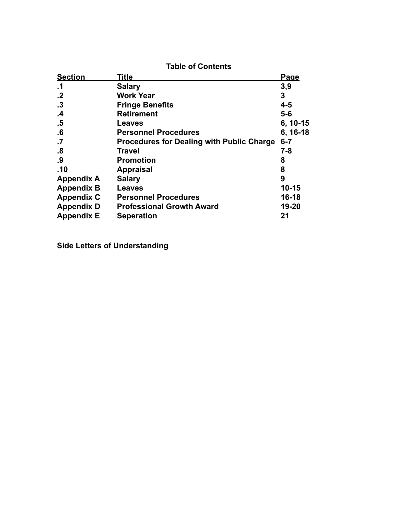| <b>Table of Contents</b> |                                                  |             |
|--------------------------|--------------------------------------------------|-------------|
| <b>Section</b>           | <u>Title</u>                                     | <u>Page</u> |
| $\cdot$ 1                | <b>Salary</b>                                    | 3,9         |
| $\cdot$                  | <b>Work Year</b>                                 | 3           |
| $\cdot$ 3                | <b>Fringe Benefits</b>                           | $4 - 5$     |
| .4                       | <b>Retirement</b>                                | $5-6$       |
| .5                       | Leaves                                           | $6, 10-15$  |
| .6                       | <b>Personnel Procedures</b>                      | $6, 16-18$  |
| $\cdot$                  | <b>Procedures for Dealing with Public Charge</b> | $6 - 7$     |
| .8                       | <b>Travel</b>                                    | $7 - 8$     |
| .9                       | Promotion                                        | 8           |
| .10                      | <b>Appraisal</b>                                 | 8           |
| <b>Appendix A</b>        | <b>Salary</b>                                    | 9           |
| <b>Appendix B</b>        | Leaves                                           | $10 - 15$   |
| <b>Appendix C</b>        | <b>Personnel Procedures</b>                      | 16-18       |
| <b>Appendix D</b>        | <b>Professional Growth Award</b>                 | 19-20       |
| <b>Appendix E</b>        | <b>Seperation</b>                                | 21          |

**Side Letters of Understanding**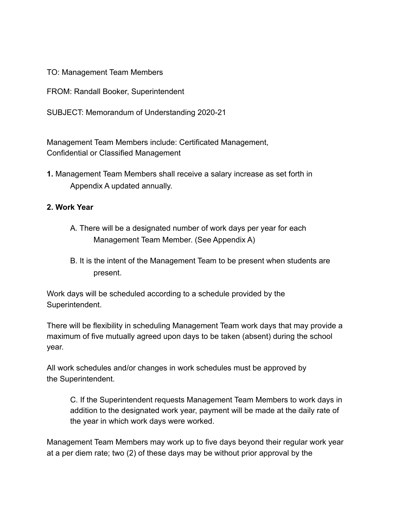TO: Management Team Members

FROM: Randall Booker, Superintendent

SUBJECT: Memorandum of Understanding 2020-21

Management Team Members include: Certificated Management, Confidential or Classified Management

**1.** Management Team Members shall receive a salary increase as set forth in Appendix A updated annually.

## **2. Work Year**

- A. There will be a designated number of work days per year for each Management Team Member. (See Appendix A)
- B. It is the intent of the Management Team to be present when students are present.

Work days will be scheduled according to a schedule provided by the Superintendent.

There will be flexibility in scheduling Management Team work days that may provide a maximum of five mutually agreed upon days to be taken (absent) during the school year.

All work schedules and/or changes in work schedules must be approved by the Superintendent.

C. If the Superintendent requests Management Team Members to work days in addition to the designated work year, payment will be made at the daily rate of the year in which work days were worked.

Management Team Members may work up to five days beyond their regular work year at a per diem rate; two (2) of these days may be without prior approval by the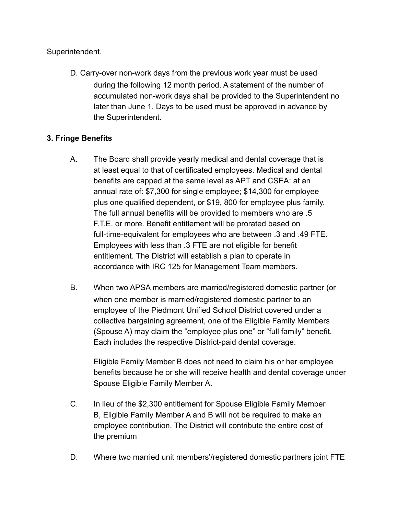Superintendent.

D. Carry-over non-work days from the previous work year must be used during the following 12 month period. A statement of the number of accumulated non-work days shall be provided to the Superintendent no later than June 1. Days to be used must be approved in advance by the Superintendent.

## **3. Fringe Benefits**

- A. The Board shall provide yearly medical and dental coverage that is at least equal to that of certificated employees. Medical and dental benefits are capped at the same level as APT and CSEA: at an annual rate of: \$7,300 for single employee; \$14,300 for employee plus one qualified dependent, or \$19, 800 for employee plus family. The full annual benefits will be provided to members who are .5 F.T.E. or more. Benefit entitlement will be prorated based on full-time-equivalent for employees who are between .3 and .49 FTE. Employees with less than .3 FTE are not eligible for benefit entitlement. The District will establish a plan to operate in accordance with IRC 125 for Management Team members.
- B. When two APSA members are married/registered domestic partner (or when one member is married/registered domestic partner to an employee of the Piedmont Unified School District covered under a collective bargaining agreement, one of the Eligible Family Members (Spouse A) may claim the "employee plus one" or "full family" benefit. Each includes the respective District-paid dental coverage.

Eligible Family Member B does not need to claim his or her employee benefits because he or she will receive health and dental coverage under Spouse Eligible Family Member A.

- C. In lieu of the \$2,300 entitlement for Spouse Eligible Family Member B, Eligible Family Member A and B will not be required to make an employee contribution. The District will contribute the entire cost of the premium
- D. Where two married unit members'/registered domestic partners joint FTE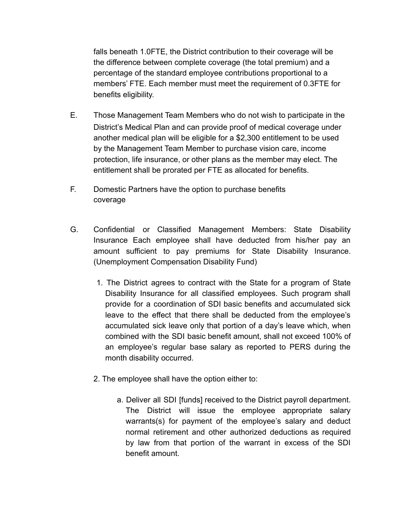falls beneath 1.0FTE, the District contribution to their coverage will be the difference between complete coverage (the total premium) and a percentage of the standard employee contributions proportional to a members' FTE. Each member must meet the requirement of 0.3FTE for benefits eligibility.

- E. Those Management Team Members who do not wish to participate in the District's Medical Plan and can provide proof of medical coverage under another medical plan will be eligible for a \$2,300 entitlement to be used by the Management Team Member to purchase vision care, income protection, life insurance, or other plans as the member may elect. The entitlement shall be prorated per FTE as allocated for benefits.
- F. Domestic Partners have the option to purchase benefits coverage
- G. Confidential or Classified Management Members: State Disability Insurance Each employee shall have deducted from his/her pay an amount sufficient to pay premiums for State Disability Insurance. (Unemployment Compensation Disability Fund)
	- 1. The District agrees to contract with the State for a program of State Disability Insurance for all classified employees. Such program shall provide for a coordination of SDI basic benefits and accumulated sick leave to the effect that there shall be deducted from the employee's accumulated sick leave only that portion of a day's leave which, when combined with the SDI basic benefit amount, shall not exceed 100% of an employee's regular base salary as reported to PERS during the month disability occurred.
	- 2. The employee shall have the option either to:
		- a. Deliver all SDI [funds] received to the District payroll department. The District will issue the employee appropriate salary warrants(s) for payment of the employee's salary and deduct normal retirement and other authorized deductions as required by law from that portion of the warrant in excess of the SDI benefit amount.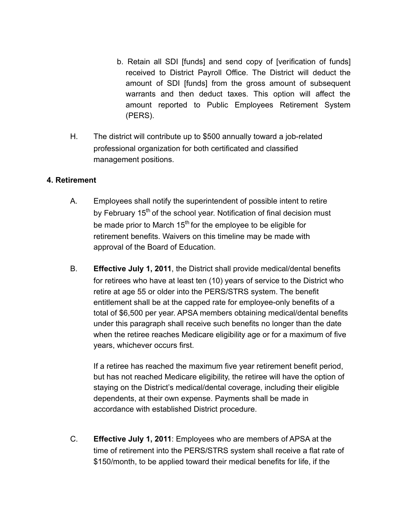- b. Retain all SDI [funds] and send copy of [verification of funds] received to District Payroll Office. The District will deduct the amount of SDI [funds] from the gross amount of subsequent warrants and then deduct taxes. This option will affect the amount reported to Public Employees Retirement System (PERS).
- H. The district will contribute up to \$500 annually toward a job-related professional organization for both certificated and classified management positions.

#### **4. Retirement**

- A. Employees shall notify the superintendent of possible intent to retire by February 15<sup>th</sup> of the school year. Notification of final decision must be made prior to March 15<sup>th</sup> for the employee to be eligible for retirement benefits. Waivers on this timeline may be made with approval of the Board of Education.
- B. **Effective July 1, 2011**, the District shall provide medical/dental benefits for retirees who have at least ten (10) years of service to the District who retire at age 55 or older into the PERS/STRS system. The benefit entitlement shall be at the capped rate for employee-only benefits of a total of \$6,500 per year. APSA members obtaining medical/dental benefits under this paragraph shall receive such benefits no longer than the date when the retiree reaches Medicare eligibility age or for a maximum of five years, whichever occurs first.

If a retiree has reached the maximum five year retirement benefit period, but has not reached Medicare eligibility, the retiree will have the option of staying on the District's medical/dental coverage, including their eligible dependents, at their own expense. Payments shall be made in accordance with established District procedure.

C. **Effective July 1, 2011**: Employees who are members of APSA at the time of retirement into the PERS/STRS system shall receive a flat rate of \$150/month, to be applied toward their medical benefits for life, if the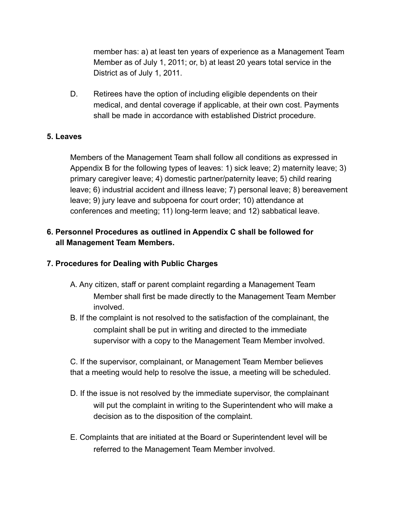member has: a) at least ten years of experience as a Management Team Member as of July 1, 2011; or, b) at least 20 years total service in the District as of July 1, 2011.

D. Retirees have the option of including eligible dependents on their medical, and dental coverage if applicable, at their own cost. Payments shall be made in accordance with established District procedure.

#### **5. Leaves**

Members of the Management Team shall follow all conditions as expressed in Appendix B for the following types of leaves: 1) sick leave; 2) maternity leave; 3) primary caregiver leave; 4) domestic partner/paternity leave; 5) child rearing leave; 6) industrial accident and illness leave; 7) personal leave; 8) bereavement leave; 9) jury leave and subpoena for court order; 10) attendance at conferences and meeting; 11) long-term leave; and 12) sabbatical leave.

## **6. Personnel Procedures as outlined in Appendix C shall be followed for all Management Team Members.**

## **7. Procedures for Dealing with Public Charges**

- A. Any citizen, staff or parent complaint regarding a Management Team Member shall first be made directly to the Management Team Member involved.
- B. If the complaint is not resolved to the satisfaction of the complainant, the complaint shall be put in writing and directed to the immediate supervisor with a copy to the Management Team Member involved.

C. If the supervisor, complainant, or Management Team Member believes that a meeting would help to resolve the issue, a meeting will be scheduled.

- D. If the issue is not resolved by the immediate supervisor, the complainant will put the complaint in writing to the Superintendent who will make a decision as to the disposition of the complaint.
- E. Complaints that are initiated at the Board or Superintendent level will be referred to the Management Team Member involved.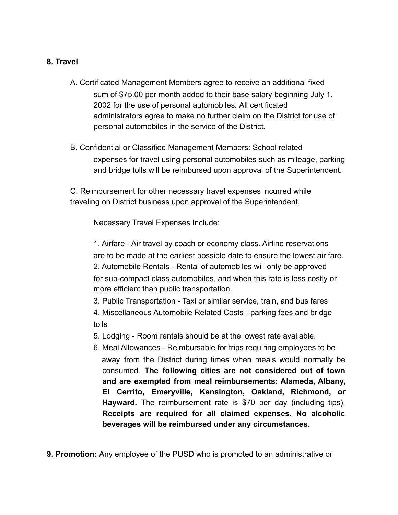#### **8. Travel**

- A. Certificated Management Members agree to receive an additional fixed sum of \$75.00 per month added to their base salary beginning July 1, 2002 for the use of personal automobiles*.* All certificated administrators agree to make no further claim on the District for use of personal automobiles in the service of the District.
- B. Confidential or Classified Management Members: School related expenses for travel using personal automobiles such as mileage, parking and bridge tolls will be reimbursed upon approval of the Superintendent.

C. Reimbursement for other necessary travel expenses incurred while traveling on District business upon approval of the Superintendent.

Necessary Travel Expenses Include:

1. Airfare - Air travel by coach or economy class. Airline reservations are to be made at the earliest possible date to ensure the lowest air fare. 2. Automobile Rentals - Rental of automobiles will only be approved for sub-compact class automobiles, and when this rate is less costly or more efficient than public transportation.

3. Public Transportation - Taxi or similar service, train, and bus fares

4. Miscellaneous Automobile Related Costs - parking fees and bridge tolls

5. Lodging - Room rentals should be at the lowest rate available.

6. Meal Allowances - Reimbursable for trips requiring employees to be away from the District during times when meals would normally be consumed. **The following cities are not considered out of town and are exempted from meal reimbursements: Alameda, Albany, El Cerrito, Emeryville, Kensington, Oakland, Richmond, or Hayward.** The reimbursement rate is \$70 per day (including tips). **Receipts are required for all claimed expenses. No alcoholic beverages will be reimbursed under any circumstances.**

**9. Promotion:** Any employee of the PUSD who is promoted to an administrative or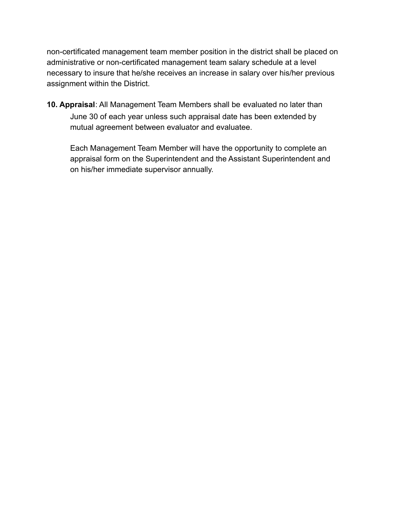non-certificated management team member position in the district shall be placed on administrative or non-certificated management team salary schedule at a level necessary to insure that he/she receives an increase in salary over his/her previous assignment within the District.

**10. Appraisal**: All Management Team Members shall be evaluated no later than June 30 of each year unless such appraisal date has been extended by mutual agreement between evaluator and evaluatee.

Each Management Team Member will have the opportunity to complete an appraisal form on the Superintendent and the Assistant Superintendent and on his/her immediate supervisor annually.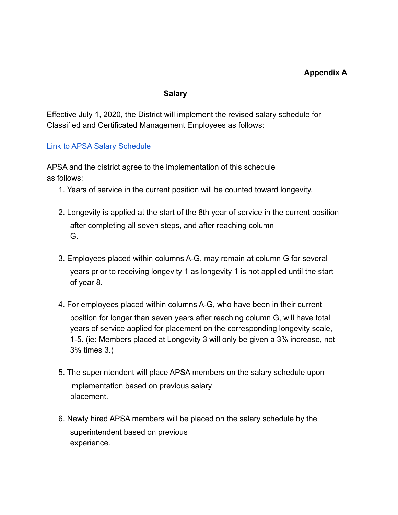#### **Salary**

Effective July 1, 2020, the District will implement the revised salary schedule for Classified and Certificated Management Employees as follows:

#### [Link](https://drive.google.com/file/d/1PO2xszEYy8TZ74Z7VgGy9IJn_fJ78RiA/view?usp=sharing) to APSA Salary Schedule

APSA and the district agree to the implementation of this schedule as follows:

- 1. Years of service in the current position will be counted toward longevity.
- 2. Longevity is applied at the start of the 8th year of service in the current position after completing all seven steps, and after reaching column G.
- 3. Employees placed within columns A-G, may remain at column G for several years prior to receiving longevity 1 as longevity 1 is not applied until the start of year 8.
- 4. For employees placed within columns A-G, who have been in their current position for longer than seven years after reaching column G, will have total years of service applied for placement on the corresponding longevity scale, 1-5. (ie: Members placed at Longevity 3 will only be given a 3% increase, not 3% times 3.)
- 5. The superintendent will place APSA members on the salary schedule upon implementation based on previous salary placement.
- 6. Newly hired APSA members will be placed on the salary schedule by the superintendent based on previous experience.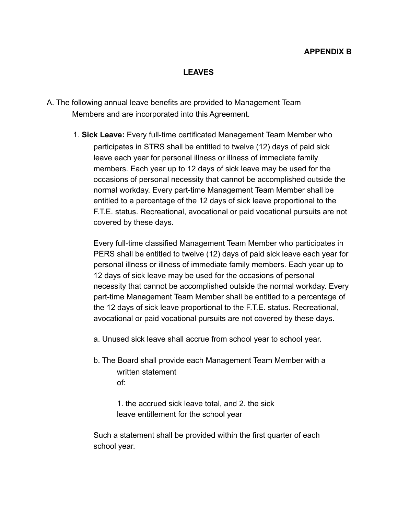#### **LEAVES**

- A. The following annual leave benefits are provided to Management Team Members and are incorporated into this Agreement.
	- 1. **Sick Leave:** Every full-time certificated Management Team Member who participates in STRS shall be entitled to twelve (12) days of paid sick leave each year for personal illness or illness of immediate family members. Each year up to 12 days of sick leave may be used for the occasions of personal necessity that cannot be accomplished outside the normal workday. Every part-time Management Team Member shall be entitled to a percentage of the 12 days of sick leave proportional to the F.T.E. status. Recreational, avocational or paid vocational pursuits are not covered by these days.

Every full-time classified Management Team Member who participates in PERS shall be entitled to twelve (12) days of paid sick leave each year for personal illness or illness of immediate family members. Each year up to 12 days of sick leave may be used for the occasions of personal necessity that cannot be accomplished outside the normal workday. Every part-time Management Team Member shall be entitled to a percentage of the 12 days of sick leave proportional to the F.T.E. status. Recreational, avocational or paid vocational pursuits are not covered by these days.

- a. Unused sick leave shall accrue from school year to school year.
- b. The Board shall provide each Management Team Member with a written statement of:

1. the accrued sick leave total, and 2. the sick leave entitlement for the school year

Such a statement shall be provided within the first quarter of each school year.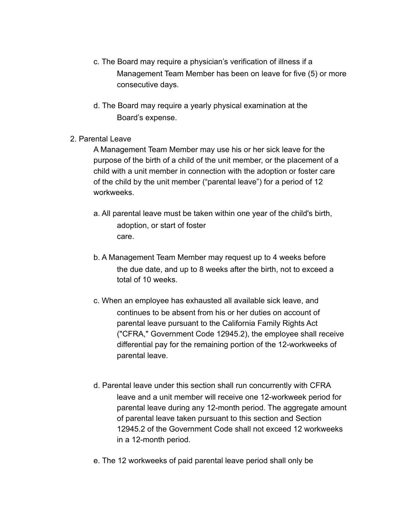- c. The Board may require a physician's verification of illness if a Management Team Member has been on leave for five (5) or more consecutive days.
- d. The Board may require a yearly physical examination at the Board's expense.
- 2. Parental Leave

A Management Team Member may use his or her sick leave for the purpose of the birth of a child of the unit member, or the placement of a child with a unit member in connection with the adoption or foster care of the child by the unit member ("parental leave") for a period of 12 workweeks.

- a. All parental leave must be taken within one year of the child's birth, adoption, or start of foster care.
- b. A Management Team Member may request up to 4 weeks before the due date, and up to 8 weeks after the birth, not to exceed a total of 10 weeks.
- c. When an employee has exhausted all available sick leave, and continues to be absent from his or her duties on account of parental leave pursuant to the California Family Rights Act ("CFRA," Government Code 12945.2), the employee shall receive differential pay for the remaining portion of the 12-workweeks of parental leave.
- d. Parental leave under this section shall run concurrently with CFRA leave and a unit member will receive one 12-workweek period for parental leave during any 12-month period. The aggregate amount of parental leave taken pursuant to this section and Section 12945.2 of the Government Code shall not exceed 12 workweeks in a 12-month period.
- e. The 12 workweeks of paid parental leave period shall only be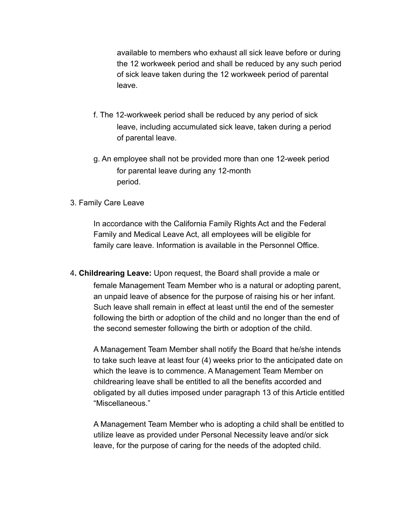available to members who exhaust all sick leave before or during the 12 workweek period and shall be reduced by any such period of sick leave taken during the 12 workweek period of parental leave.

- f. The 12-workweek period shall be reduced by any period of sick leave, including accumulated sick leave, taken during a period of parental leave.
- g. An employee shall not be provided more than one 12-week period for parental leave during any 12-month period.
- 3. Family Care Leave

In accordance with the California Family Rights Act and the Federal Family and Medical Leave Act, all employees will be eligible for family care leave. Information is available in the Personnel Office.

4**. Childrearing Leave:** Upon request, the Board shall provide a male or female Management Team Member who is a natural or adopting parent, an unpaid leave of absence for the purpose of raising his or her infant. Such leave shall remain in effect at least until the end of the semester following the birth or adoption of the child and no longer than the end of the second semester following the birth or adoption of the child.

A Management Team Member shall notify the Board that he/she intends to take such leave at least four (4) weeks prior to the anticipated date on which the leave is to commence. A Management Team Member on childrearing leave shall be entitled to all the benefits accorded and obligated by all duties imposed under paragraph 13 of this Article entitled "Miscellaneous."

A Management Team Member who is adopting a child shall be entitled to utilize leave as provided under Personal Necessity leave and/or sick leave, for the purpose of caring for the needs of the adopted child.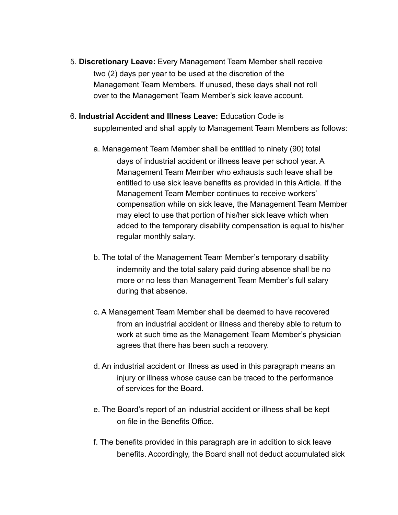- 5. **Discretionary Leave:** Every Management Team Member shall receive two (2) days per year to be used at the discretion of the Management Team Members. If unused, these days shall not roll over to the Management Team Member's sick leave account.
- 6. **Industrial Accident and Illness Leave:** Education Code is

supplemented and shall apply to Management Team Members as follows:

- a. Management Team Member shall be entitled to ninety (90) total days of industrial accident or illness leave per school year. A Management Team Member who exhausts such leave shall be entitled to use sick leave benefits as provided in this Article. If the Management Team Member continues to receive workers' compensation while on sick leave, the Management Team Member may elect to use that portion of his/her sick leave which when added to the temporary disability compensation is equal to his/her regular monthly salary.
- b. The total of the Management Team Member's temporary disability indemnity and the total salary paid during absence shall be no more or no less than Management Team Member's full salary during that absence.
- c. A Management Team Member shall be deemed to have recovered from an industrial accident or illness and thereby able to return to work at such time as the Management Team Member's physician agrees that there has been such a recovery.
- d. An industrial accident or illness as used in this paragraph means an injury or illness whose cause can be traced to the performance of services for the Board.
- e. The Board's report of an industrial accident or illness shall be kept on file in the Benefits Office.
- f. The benefits provided in this paragraph are in addition to sick leave benefits. Accordingly, the Board shall not deduct accumulated sick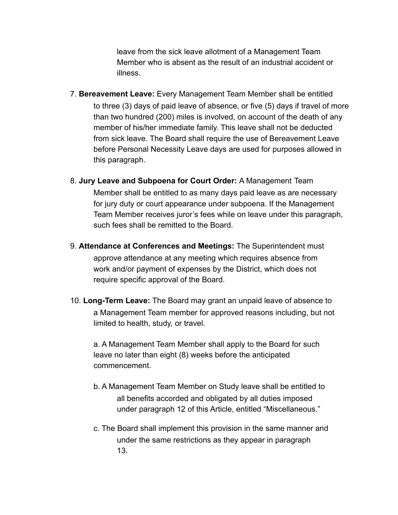leave from the sick leave allotment of a Management Team Member who is absent as the result of an industrial accident or illness.

- 7. **Bereavement Leave:** Every Management Team Member shall be entitled to three (3) days of paid leave of absence, or five (5) days if travel of more than two hundred (200) miles is involved, on account of the death of any member of his/her immediate family. This leave shall not be deducted from sick leave. The Board shall require the use of Bereavement Leave before Personal Necessity Leave days are used for purposes allowed in this paragraph.
- 8. **Jury Leave and Subpoena for Court Order:** A Management Team Member shall be entitled to as many days paid leave as are necessary for jury duty or court appearance under subpoena. If the Management Team Member receives juror's fees while on leave under this paragraph, such fees shall be remitted to the Board.
- 9. **Attendance at Conferences and Meetings:** The Superintendent must approve attendance at any meeting which requires absence from work and/or payment of expenses by the District, which does not require specific approval of the Board.
- 10. **Long-Term Leave:** The Board may grant an unpaid leave of absence to a Management Team member for approved reasons including, but not limited to health, study, or travel.

a. A Management Team Member shall apply to the Board for such leave no later than eight (8) weeks before the anticipated commencement.

- b. A Management Team Member on Study leave shall be entitled to all benefits accorded and obligated by all duties imposed under paragraph 12 of this Article, entitled "Miscellaneous."
- c. The Board shall implement this provision in the same manner and under the same restrictions as they appear in paragraph 13.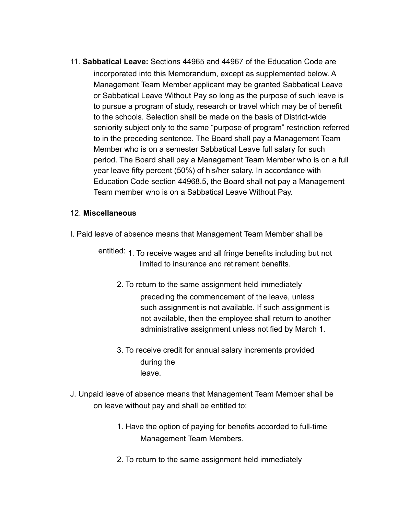11. **Sabbatical Leave:** Sections 44965 and 44967 of the Education Code are incorporated into this Memorandum, except as supplemented below. A Management Team Member applicant may be granted Sabbatical Leave or Sabbatical Leave Without Pay so long as the purpose of such leave is to pursue a program of study, research or travel which may be of benefit to the schools. Selection shall be made on the basis of District-wide seniority subject only to the same "purpose of program" restriction referred to in the preceding sentence. The Board shall pay a Management Team Member who is on a semester Sabbatical Leave full salary for such period. The Board shall pay a Management Team Member who is on a full year leave fifty percent (50%) of his/her salary. In accordance with Education Code section 44968.5, the Board shall not pay a Management Team member who is on a Sabbatical Leave Without Pay.

#### 12. **Miscellaneous**

- I. Paid leave of absence means that Management Team Member shall be
	- entitled: 1. To receive wages and all fringe benefits including but not limited to insurance and retirement benefits.
		- 2. To return to the same assignment held immediately preceding the commencement of the leave, unless such assignment is not available. If such assignment is not available, then the employee shall return to another administrative assignment unless notified by March 1.
		- 3. To receive credit for annual salary increments provided during the leave.
- J. Unpaid leave of absence means that Management Team Member shall be on leave without pay and shall be entitled to:
	- 1. Have the option of paying for benefits accorded to full-time Management Team Members.
	- 2. To return to the same assignment held immediately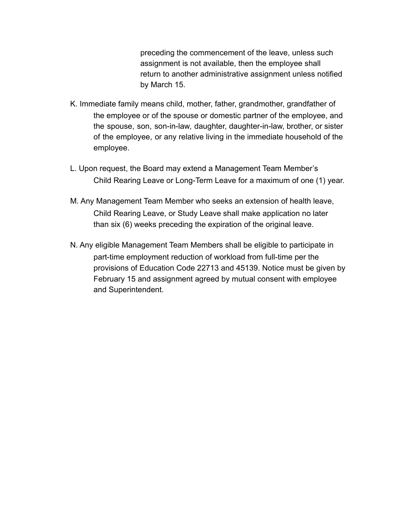preceding the commencement of the leave, unless such assignment is not available, then the employee shall return to another administrative assignment unless notified by March 15.

- K. Immediate family means child, mother, father, grandmother, grandfather of the employee or of the spouse or domestic partner of the employee, and the spouse, son, son-in-law, daughter, daughter-in-law, brother, or sister of the employee, or any relative living in the immediate household of the employee.
- L. Upon request, the Board may extend a Management Team Member's Child Rearing Leave or Long-Term Leave for a maximum of one (1) year.
- M. Any Management Team Member who seeks an extension of health leave, Child Rearing Leave, or Study Leave shall make application no later than six (6) weeks preceding the expiration of the original leave.
- N. Any eligible Management Team Members shall be eligible to participate in part-time employment reduction of workload from full-time per the provisions of Education Code 22713 and 45139. Notice must be given by February 15 and assignment agreed by mutual consent with employee and Superintendent.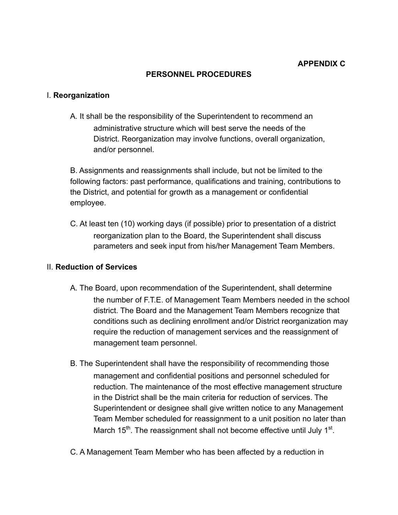#### **PERSONNEL PROCEDURES**

#### I. **Reorganization**

A. It shall be the responsibility of the Superintendent to recommend an administrative structure which will best serve the needs of the District. Reorganization may involve functions, overall organization, and/or personnel.

B. Assignments and reassignments shall include, but not be limited to the following factors: past performance, qualifications and training, contributions to the District, and potential for growth as a management or confidential employee.

C. At least ten (10) working days (if possible) prior to presentation of a district reorganization plan to the Board, the Superintendent shall discuss parameters and seek input from his/her Management Team Members.

#### II. **Reduction of Services**

- A. The Board, upon recommendation of the Superintendent, shall determine the number of F.T.E. of Management Team Members needed in the school district. The Board and the Management Team Members recognize that conditions such as declining enrollment and/or District reorganization may require the reduction of management services and the reassignment of management team personnel.
- B. The Superintendent shall have the responsibility of recommending those management and confidential positions and personnel scheduled for reduction. The maintenance of the most effective management structure in the District shall be the main criteria for reduction of services. The Superintendent or designee shall give written notice to any Management Team Member scheduled for reassignment to a unit position no later than March 15<sup>th</sup>. The reassignment shall not become effective until July 1<sup>st</sup>.
- C. A Management Team Member who has been affected by a reduction in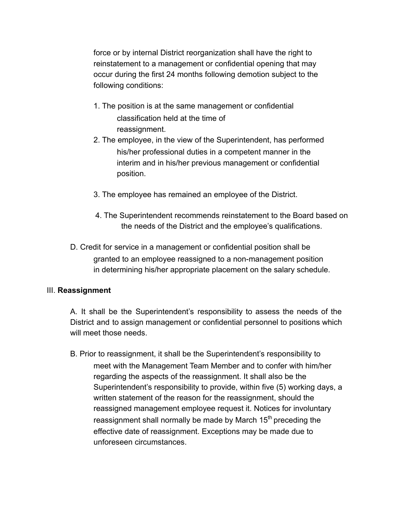force or by internal District reorganization shall have the right to reinstatement to a management or confidential opening that may occur during the first 24 months following demotion subject to the following conditions:

- 1. The position is at the same management or confidential classification held at the time of reassignment.
- 2. The employee, in the view of the Superintendent, has performed his/her professional duties in a competent manner in the interim and in his/her previous management or confidential position.
- 3. The employee has remained an employee of the District.
- 4. The Superintendent recommends reinstatement to the Board based on the needs of the District and the employee's qualifications.
- D. Credit for service in a management or confidential position shall be granted to an employee reassigned to a non-management position in determining his/her appropriate placement on the salary schedule.

#### III. **Reassignment**

A. It shall be the Superintendent's responsibility to assess the needs of the District and to assign management or confidential personnel to positions which will meet those needs.

B. Prior to reassignment, it shall be the Superintendent's responsibility to meet with the Management Team Member and to confer with him/her regarding the aspects of the reassignment. It shall also be the Superintendent's responsibility to provide, within five (5) working days, a written statement of the reason for the reassignment, should the reassigned management employee request it. Notices for involuntary reassignment shall normally be made by March  $15<sup>th</sup>$  preceding the effective date of reassignment. Exceptions may be made due to unforeseen circumstances.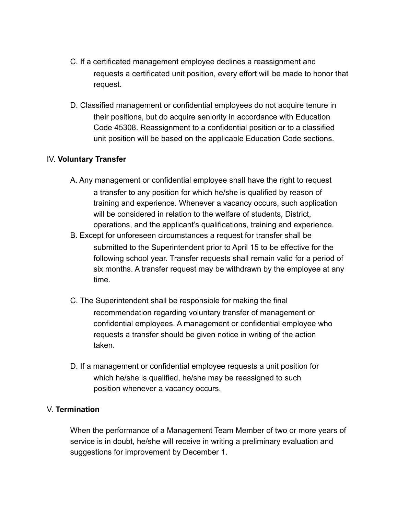- C. If a certificated management employee declines a reassignment and requests a certificated unit position, every effort will be made to honor that request.
- D. Classified management or confidential employees do not acquire tenure in their positions, but do acquire seniority in accordance with Education Code 45308. Reassignment to a confidential position or to a classified unit position will be based on the applicable Education Code sections.

#### IV. **Voluntary Transfer**

- A. Any management or confidential employee shall have the right to request a transfer to any position for which he/she is qualified by reason of training and experience. Whenever a vacancy occurs, such application will be considered in relation to the welfare of students, District, operations, and the applicant's qualifications, training and experience.
- B. Except for unforeseen circumstances a request for transfer shall be submitted to the Superintendent prior to April 15 to be effective for the following school year. Transfer requests shall remain valid for a period of six months. A transfer request may be withdrawn by the employee at any time.
- C. The Superintendent shall be responsible for making the final recommendation regarding voluntary transfer of management or confidential employees. A management or confidential employee who requests a transfer should be given notice in writing of the action taken.
- D. If a management or confidential employee requests a unit position for which he/she is qualified, he/she may be reassigned to such position whenever a vacancy occurs.

#### V. **Termination**

When the performance of a Management Team Member of two or more years of service is in doubt, he/she will receive in writing a preliminary evaluation and suggestions for improvement by December 1.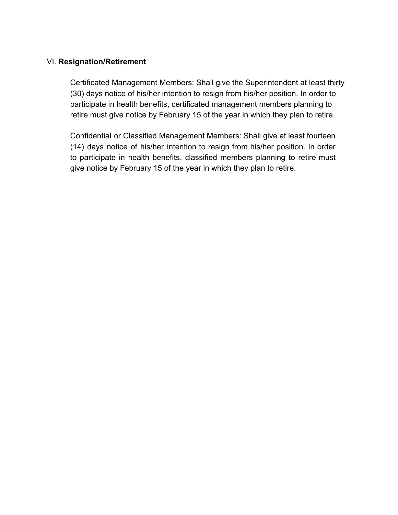#### VI. **Resignation/Retirement**

Certificated Management Members: Shall give the Superintendent at least thirty (30) days notice of his/her intention to resign from his/her position. In order to participate in health benefits, certificated management members planning to retire must give notice by February 15 of the year in which they plan to retire.

Confidential or Classified Management Members: Shall give at least fourteen (14) days notice of his/her intention to resign from his/her position. In order to participate in health benefits, classified members planning to retire must give notice by February 15 of the year in which they plan to retire.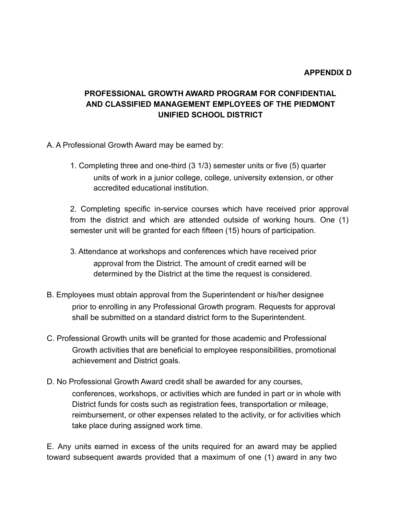## **PROFESSIONAL GROWTH AWARD PROGRAM FOR CONFIDENTIAL AND CLASSIFIED MANAGEMENT EMPLOYEES OF THE PIEDMONT UNIFIED SCHOOL DISTRICT**

- A. A Professional Growth Award may be earned by:
	- 1. Completing three and one-third (3 1/3) semester units or five (5) quarter units of work in a junior college, college, university extension, or other accredited educational institution.

2. Completing specific in-service courses which have received prior approval from the district and which are attended outside of working hours. One (1) semester unit will be granted for each fifteen (15) hours of participation.

- 3. Attendance at workshops and conferences which have received prior approval from the District. The amount of credit earned will be determined by the District at the time the request is considered.
- B. Employees must obtain approval from the Superintendent or his/her designee prior to enrolling in any Professional Growth program. Requests for approval shall be submitted on a standard district form to the Superintendent.
- C. Professional Growth units will be granted for those academic and Professional Growth activities that are beneficial to employee responsibilities, promotional achievement and District goals.
- D. No Professional Growth Award credit shall be awarded for any courses, conferences, workshops, or activities which are funded in part or in whole with District funds for costs such as registration fees, transportation or mileage, reimbursement, or other expenses related to the activity, or for activities which take place during assigned work time.

E. Any units earned in excess of the units required for an award may be applied toward subsequent awards provided that a maximum of one (1) award in any two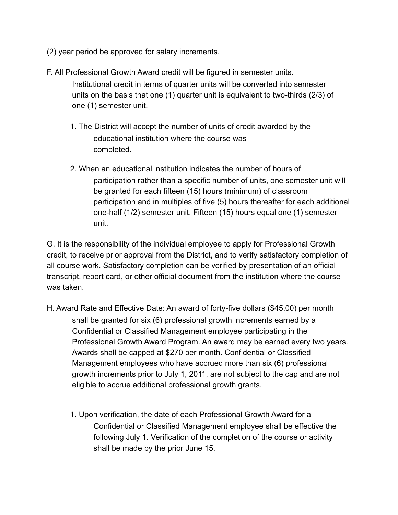- (2) year period be approved for salary increments.
- F. All Professional Growth Award credit will be figured in semester units. Institutional credit in terms of quarter units will be converted into semester units on the basis that one (1) quarter unit is equivalent to two-thirds (2/3) of one (1) semester unit.
	- 1. The District will accept the number of units of credit awarded by the educational institution where the course was completed.
	- 2. When an educational institution indicates the number of hours of participation rather than a specific number of units, one semester unit will be granted for each fifteen (15) hours (minimum) of classroom participation and in multiples of five (5) hours thereafter for each additional one-half (1/2) semester unit. Fifteen (15) hours equal one (1) semester unit.

G. It is the responsibility of the individual employee to apply for Professional Growth credit, to receive prior approval from the District, and to verify satisfactory completion of all course work. Satisfactory completion can be verified by presentation of an official transcript, report card, or other official document from the institution where the course was taken.

- H. Award Rate and Effective Date: An award of forty-five dollars (\$45.00) per month shall be granted for six (6) professional growth increments earned by a Confidential or Classified Management employee participating in the Professional Growth Award Program. An award may be earned every two years. Awards shall be capped at \$270 per month. Confidential or Classified Management employees who have accrued more than six (6) professional growth increments prior to July 1, 2011, are not subject to the cap and are not eligible to accrue additional professional growth grants.
	- 1. Upon verification, the date of each Professional Growth Award for a Confidential or Classified Management employee shall be effective the following July 1. Verification of the completion of the course or activity shall be made by the prior June 15.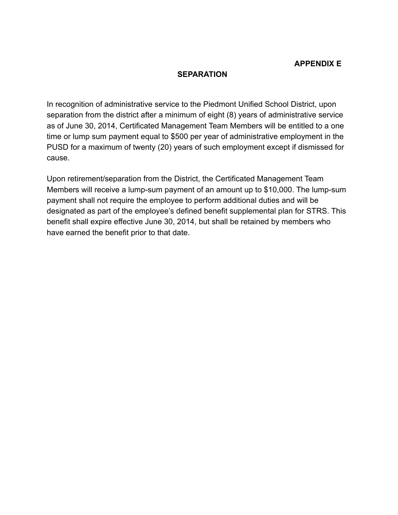#### **SEPARATION**

In recognition of administrative service to the Piedmont Unified School District, upon separation from the district after a minimum of eight (8) years of administrative service as of June 30, 2014, Certificated Management Team Members will be entitled to a one time or lump sum payment equal to \$500 per year of administrative employment in the PUSD for a maximum of twenty (20) years of such employment except if dismissed for cause.

Upon retirement/separation from the District, the Certificated Management Team Members will receive a lump-sum payment of an amount up to \$10,000. The lump-sum payment shall not require the employee to perform additional duties and will be designated as part of the employee's defined benefit supplemental plan for STRS. This benefit shall expire effective June 30, 2014, but shall be retained by members who have earned the benefit prior to that date.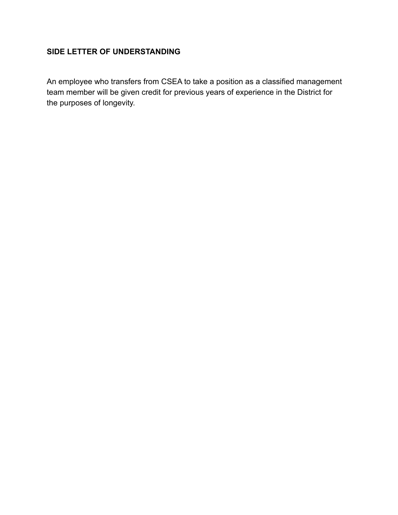## **SIDE LETTER OF UNDERSTANDING**

An employee who transfers from CSEA to take a position as a classified management team member will be given credit for previous years of experience in the District for the purposes of longevity.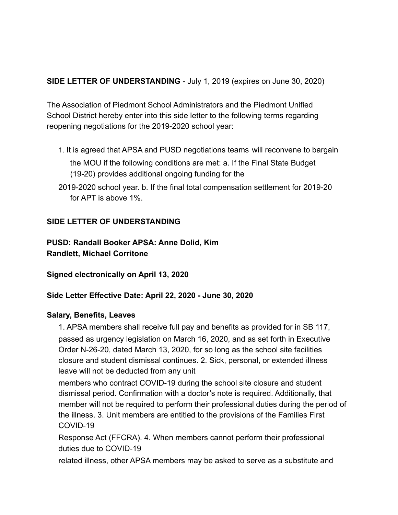### **SIDE LETTER OF UNDERSTANDING** - July 1, 2019 (expires on June 30, 2020)

The Association of Piedmont School Administrators and the Piedmont Unified School District hereby enter into this side letter to the following terms regarding reopening negotiations for the 2019-2020 school year:

1. It is agreed that APSA and PUSD negotiations teams will reconvene to bargain

the MOU if the following conditions are met: a. If the Final State Budget (19-20) provides additional ongoing funding for the

2019-2020 school year. b. If the final total compensation settlement for 2019-20 for APT is above 1%.

### **SIDE LETTER OF UNDERSTANDING**

**PUSD: Randall Booker APSA: Anne Dolid, Kim Randlett, Michael Corritone**

**Signed electronically on April 13, 2020**

**Side Letter Effective Date: April 22, 2020 - June 30, 2020**

#### **Salary, Benefits, Leaves**

1. APSA members shall receive full pay and benefits as provided for in SB 117, passed as urgency legislation on March 16, 2020, and as set forth in Executive Order N-26-20, dated March 13, 2020, for so long as the school site facilities closure and student dismissal continues. 2. Sick, personal, or extended illness leave will not be deducted from any unit

members who contract COVID-19 during the school site closure and student dismissal period. Confirmation with a doctor's note is required. Additionally, that member will not be required to perform their professional duties during the period of the illness. 3. Unit members are entitled to the provisions of the Families First COVID-19

Response Act (FFCRA). 4. When members cannot perform their professional duties due to COVID-19

related illness, other APSA members may be asked to serve as a substitute and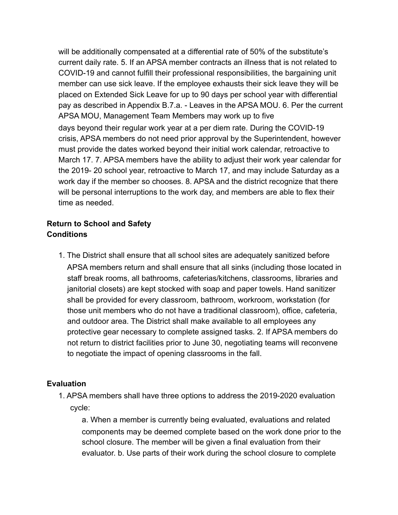will be additionally compensated at a differential rate of 50% of the substitute's current daily rate. 5. If an APSA member contracts an illness that is not related to COVID-19 and cannot fulfill their professional responsibilities, the bargaining unit member can use sick leave. If the employee exhausts their sick leave they will be placed on Extended Sick Leave for up to 90 days per school year with differential pay as described in Appendix B.7.a. - Leaves in the APSA MOU. 6. Per the current APSA MOU, Management Team Members may work up to five days beyond their regular work year at a per diem rate. During the COVID-19 crisis, APSA members do not need prior approval by the Superintendent, however must provide the dates worked beyond their initial work calendar, retroactive to March 17. 7. APSA members have the ability to adjust their work year calendar for the 2019- 20 school year, retroactive to March 17, and may include Saturday as a work day if the member so chooses. 8. APSA and the district recognize that there will be personal interruptions to the work day, and members are able to flex their time as needed.

## **Return to School and Safety Conditions**

1. The District shall ensure that all school sites are adequately sanitized before APSA members return and shall ensure that all sinks (including those located in staff break rooms, all bathrooms, cafeterias/kitchens, classrooms, libraries and janitorial closets) are kept stocked with soap and paper towels. Hand sanitizer shall be provided for every classroom, bathroom, workroom, workstation (for those unit members who do not have a traditional classroom), office, cafeteria, and outdoor area. The District shall make available to all employees any protective gear necessary to complete assigned tasks. 2. If APSA members do not return to district facilities prior to June 30, negotiating teams will reconvene to negotiate the impact of opening classrooms in the fall.

## **Evaluation**

1. APSA members shall have three options to address the 2019-2020 evaluation cycle:

a. When a member is currently being evaluated, evaluations and related components may be deemed complete based on the work done prior to the school closure. The member will be given a final evaluation from their evaluator. b. Use parts of their work during the school closure to complete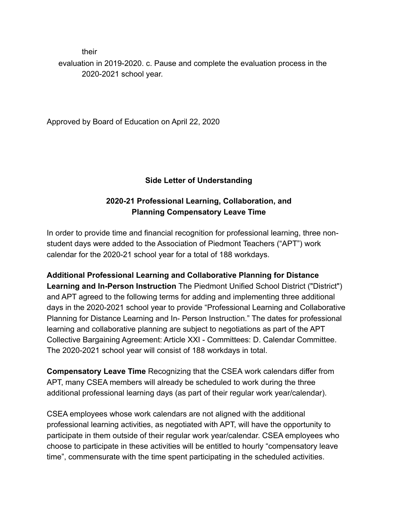their

evaluation in 2019-2020. c. Pause and complete the evaluation process in the 2020-2021 school year.

Approved by Board of Education on April 22, 2020

## **Side Letter of Understanding**

## **2020-21 Professional Learning, Collaboration, and Planning Compensatory Leave Time**

In order to provide time and financial recognition for professional learning, three nonstudent days were added to the Association of Piedmont Teachers ("APT") work calendar for the 2020-21 school year for a total of 188 workdays.

**Additional Professional Learning and Collaborative Planning for Distance Learning and In-Person Instruction** The Piedmont Unified School District ("District") and APT agreed to the following terms for adding and implementing three additional days in the 2020-2021 school year to provide "Professional Learning and Collaborative Planning for Distance Learning and In- Person Instruction." The dates for professional learning and collaborative planning are subject to negotiations as part of the APT Collective Bargaining Agreement: Article XXI - Committees: D. Calendar Committee. The 2020-2021 school year will consist of 188 workdays in total.

**Compensatory Leave Time** Recognizing that the CSEA work calendars differ from APT, many CSEA members will already be scheduled to work during the three additional professional learning days (as part of their regular work year/calendar).

CSEA employees whose work calendars are not aligned with the additional professional learning activities, as negotiated with APT, will have the opportunity to participate in them outside of their regular work year/calendar. CSEA employees who choose to participate in these activities will be entitled to hourly "compensatory leave time", commensurate with the time spent participating in the scheduled activities.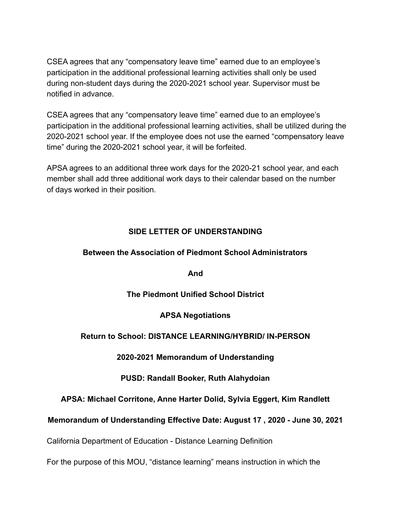CSEA agrees that any "compensatory leave time" earned due to an employee's participation in the additional professional learning activities shall only be used during non-student days during the 2020-2021 school year. Supervisor must be notified in advance.

CSEA agrees that any "compensatory leave time" earned due to an employee's participation in the additional professional learning activities, shall be utilized during the 2020-2021 school year. If the employee does not use the earned "compensatory leave time" during the 2020-2021 school year, it will be forfeited.

APSA agrees to an additional three work days for the 2020-21 school year, and each member shall add three additional work days to their calendar based on the number of days worked in their position.

### **SIDE LETTER OF UNDERSTANDING**

#### **Between the Association of Piedmont School Administrators**

**And**

#### **The Piedmont Unified School District**

#### **APSA Negotiations**

#### **Return to School: DISTANCE LEARNING/HYBRID/ IN-PERSON**

#### **2020-2021 Memorandum of Understanding**

#### **PUSD: Randall Booker, Ruth Alahydoian**

#### **APSA: Michael Corritone, Anne Harter Dolid, Sylvia Eggert, Kim Randlett**

#### **Memorandum of Understanding Effective Date: August 17 , 2020 - June 30, 2021**

California Department of Education - Distance Learning Definition

For the purpose of this MOU, "distance learning" means instruction in which the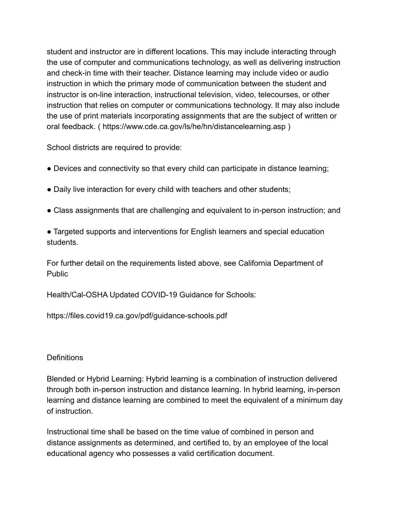student and instructor are in different locations. This may include interacting through the use of computer and communications technology, as well as delivering instruction and check-in time with their teacher. Distance learning may include video or audio instruction in which the primary mode of communication between the student and instructor is on-line interaction, instructional television, video, telecourses, or other instruction that relies on computer or communications technology. It may also include the use of print materials incorporating assignments that are the subject of written or oral feedback. ( https://www.cde.ca.gov/ls/he/hn/distancelearning.asp )

School districts are required to provide:

- Devices and connectivity so that every child can participate in distance learning;
- Daily live interaction for every child with teachers and other students;
- Class assignments that are challenging and equivalent to in-person instruction; and
- Targeted supports and interventions for English learners and special education students.

For further detail on the requirements listed above, see California Department of Public

Health/Cal-OSHA Updated COVID-19 Guidance for Schools:

https://files.covid19.ca.gov/pdf/guidance-schools.pdf

#### **Definitions**

Blended or Hybrid Learning: Hybrid learning is a combination of instruction delivered through both in-person instruction and distance learning. In hybrid learning, in-person learning and distance learning are combined to meet the equivalent of a minimum day of instruction.

Instructional time shall be based on the time value of combined in person and distance assignments as determined, and certified to, by an employee of the local educational agency who possesses a valid certification document.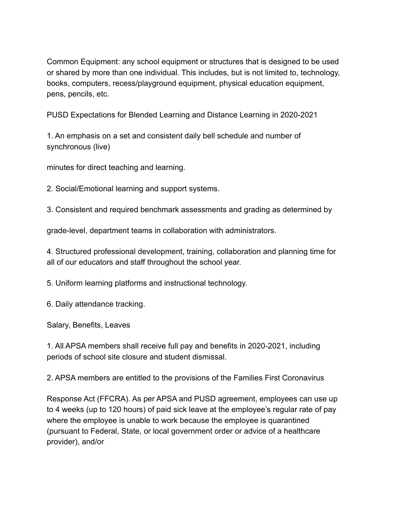Common Equipment: any school equipment or structures that is designed to be used or shared by more than one individual. This includes, but is not limited to, technology, books, computers, recess/playground equipment, physical education equipment, pens, pencils, etc.

PUSD Expectations for Blended Learning and Distance Learning in 2020-2021

1. An emphasis on a set and consistent daily bell schedule and number of synchronous (live)

minutes for direct teaching and learning.

2. Social/Emotional learning and support systems.

3. Consistent and required benchmark assessments and grading as determined by

grade-level, department teams in collaboration with administrators.

4. Structured professional development, training, collaboration and planning time for all of our educators and staff throughout the school year.

5. Uniform learning platforms and instructional technology.

6. Daily attendance tracking.

Salary, Benefits, Leaves

1. All APSA members shall receive full pay and benefits in 2020-2021, including periods of school site closure and student dismissal.

2. APSA members are entitled to the provisions of the Families First Coronavirus

Response Act (FFCRA). As per APSA and PUSD agreement, employees can use up to 4 weeks (up to 120 hours) of paid sick leave at the employee's regular rate of pay where the employee is unable to work because the employee is quarantined (pursuant to Federal, State, or local government order or advice of a healthcare provider), and/or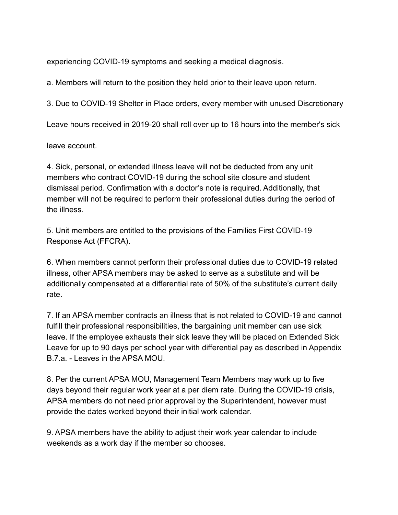experiencing COVID-19 symptoms and seeking a medical diagnosis.

a. Members will return to the position they held prior to their leave upon return.

3. Due to COVID-19 Shelter in Place orders, every member with unused Discretionary

Leave hours received in 2019-20 shall roll over up to 16 hours into the member's sick

leave account.

4. Sick, personal, or extended illness leave will not be deducted from any unit members who contract COVID-19 during the school site closure and student dismissal period. Confirmation with a doctor's note is required. Additionally, that member will not be required to perform their professional duties during the period of the illness.

5. Unit members are entitled to the provisions of the Families First COVID-19 Response Act (FFCRA).

6. When members cannot perform their professional duties due to COVID-19 related illness, other APSA members may be asked to serve as a substitute and will be additionally compensated at a differential rate of 50% of the substitute's current daily rate.

7. If an APSA member contracts an illness that is not related to COVID-19 and cannot fulfill their professional responsibilities, the bargaining unit member can use sick leave. If the employee exhausts their sick leave they will be placed on Extended Sick Leave for up to 90 days per school year with differential pay as described in Appendix B.7.a. - Leaves in the APSA MOU.

8. Per the current APSA MOU, Management Team Members may work up to five days beyond their regular work year at a per diem rate. During the COVID-19 crisis, APSA members do not need prior approval by the Superintendent, however must provide the dates worked beyond their initial work calendar.

9. APSA members have the ability to adjust their work year calendar to include weekends as a work day if the member so chooses.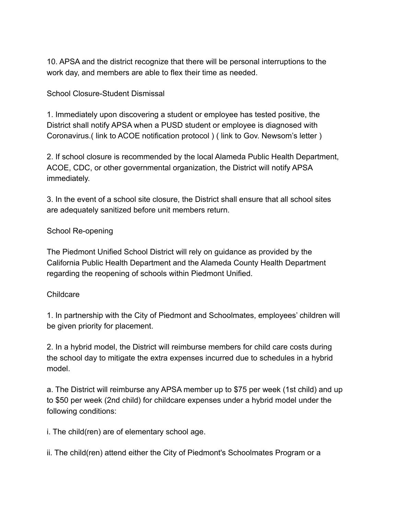10. APSA and the district recognize that there will be personal interruptions to the work day, and members are able to flex their time as needed.

School Closure-Student Dismissal

1. Immediately upon discovering a student or employee has tested positive, the District shall notify APSA when a PUSD student or employee is diagnosed with Coronavirus.( link to ACOE notification protocol ) ( link to Gov. Newsom's letter )

2. If school closure is recommended by the local Alameda Public Health Department, ACOE, CDC, or other governmental organization, the District will notify APSA immediately.

3. In the event of a school site closure, the District shall ensure that all school sites are adequately sanitized before unit members return.

#### School Re-opening

The Piedmont Unified School District will rely on guidance as provided by the California Public Health Department and the Alameda County Health Department regarding the reopening of schools within Piedmont Unified.

#### Childcare

1. In partnership with the City of Piedmont and Schoolmates, employees' children will be given priority for placement.

2. In a hybrid model, the District will reimburse members for child care costs during the school day to mitigate the extra expenses incurred due to schedules in a hybrid model.

a. The District will reimburse any APSA member up to \$75 per week (1st child) and up to \$50 per week (2nd child) for childcare expenses under a hybrid model under the following conditions:

i. The child(ren) are of elementary school age.

ii. The child(ren) attend either the City of Piedmont's Schoolmates Program or a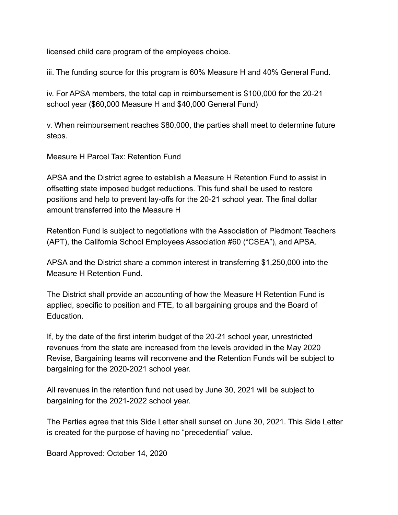licensed child care program of the employees choice.

iii. The funding source for this program is 60% Measure H and 40% General Fund.

iv. For APSA members, the total cap in reimbursement is \$100,000 for the 20-21 school year (\$60,000 Measure H and \$40,000 General Fund)

v. When reimbursement reaches \$80,000, the parties shall meet to determine future steps.

Measure H Parcel Tax: Retention Fund

APSA and the District agree to establish a Measure H Retention Fund to assist in offsetting state imposed budget reductions. This fund shall be used to restore positions and help to prevent lay-offs for the 20-21 school year. The final dollar amount transferred into the Measure H

Retention Fund is subject to negotiations with the Association of Piedmont Teachers (APT), the California School Employees Association #60 ("CSEA"), and APSA.

APSA and the District share a common interest in transferring \$1,250,000 into the Measure H Retention Fund.

The District shall provide an accounting of how the Measure H Retention Fund is applied, specific to position and FTE, to all bargaining groups and the Board of **Education** 

If, by the date of the first interim budget of the 20-21 school year, unrestricted revenues from the state are increased from the levels provided in the May 2020 Revise, Bargaining teams will reconvene and the Retention Funds will be subject to bargaining for the 2020-2021 school year.

All revenues in the retention fund not used by June 30, 2021 will be subject to bargaining for the 2021-2022 school year.

The Parties agree that this Side Letter shall sunset on June 30, 2021. This Side Letter is created for the purpose of having no "precedential" value.

Board Approved: October 14, 2020